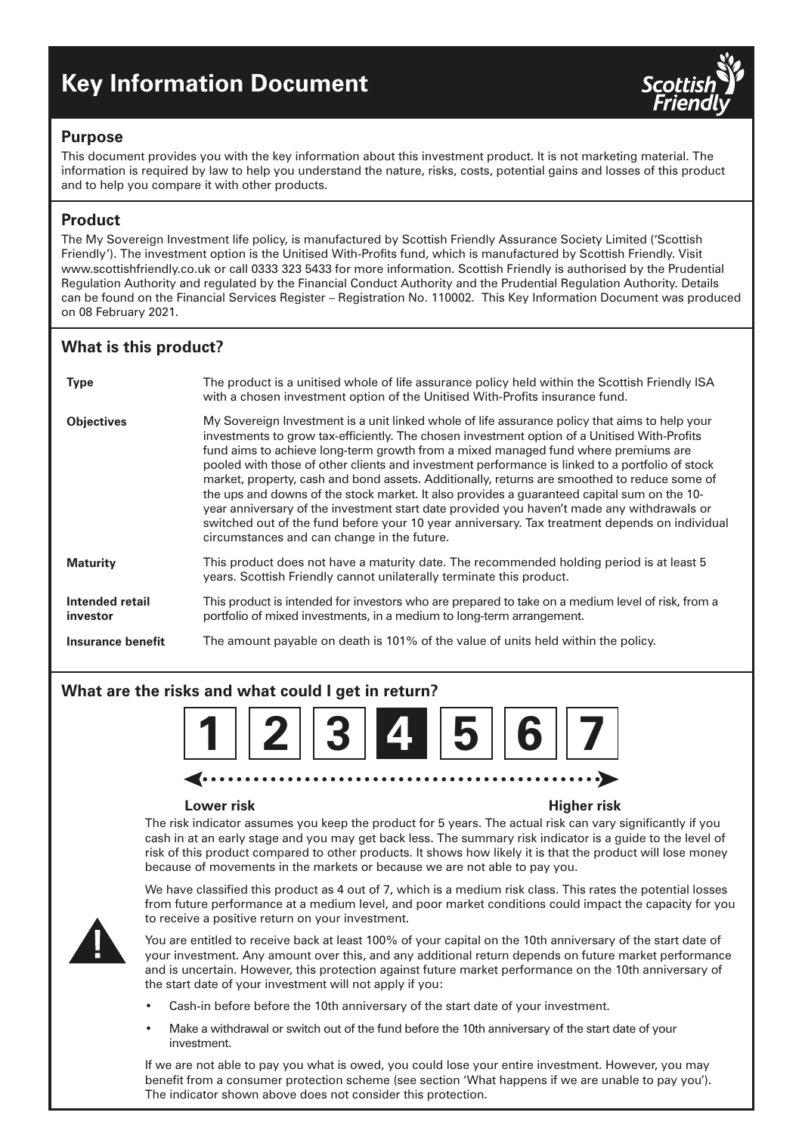# **Key Information Document**



#### **Purpose**

This document provides you with the key information about this investment product. It is not marketing material. The information is required by law to help you understand the nature, risks, costs, potential gains and losses of this product and to help you compare it with other products.

## **Product**

The My Sovereign Investment life policy, is manufactured by Scottish Friendly Assurance Society Limited ('Scottish Friendly'). The investment option is the Unitised With-Profits fund, which is manufactured by Scottish Friendly. Visit www.scottishfriendly.co.uk or call 0333 323 5433 for more information. Scottish Friendly is authorised by the Prudential Regulation Authority and regulated by the Financial Conduct Authority and the Prudential Regulation Authority. Details can be found on the Financial Services Register – Registration No. 110002. This Key Information Document was produced on 08 February 2021.

# **What is this product?**

| <b>Type</b>                 | The product is a unitised whole of life assurance policy held within the Scottish Friendly ISA<br>with a chosen investment option of the Unitised With-Profits insurance fund.                                                                                                                                                                                                                                                                                                                                                                                                                                                                                                                                                                                                                                                       |
|-----------------------------|--------------------------------------------------------------------------------------------------------------------------------------------------------------------------------------------------------------------------------------------------------------------------------------------------------------------------------------------------------------------------------------------------------------------------------------------------------------------------------------------------------------------------------------------------------------------------------------------------------------------------------------------------------------------------------------------------------------------------------------------------------------------------------------------------------------------------------------|
| <b>Objectives</b>           | My Sovereign Investment is a unit linked whole of life assurance policy that aims to help your<br>investments to grow tax-efficiently. The chosen investment option of a Unitised With-Profits<br>fund aims to achieve long-term growth from a mixed managed fund where premiums are<br>pooled with those of other clients and investment performance is linked to a portfolio of stock<br>market, property, cash and bond assets. Additionally, returns are smoothed to reduce some of<br>the ups and downs of the stock market. It also provides a guaranteed capital sum on the 10-<br>year anniversary of the investment start date provided you haven't made any withdrawals or<br>switched out of the fund before your 10 year anniversary. Tax treatment depends on individual<br>circumstances and can change in the future. |
| <b>Maturity</b>             | This product does not have a maturity date. The recommended holding period is at least 5<br>years. Scottish Friendly cannot unilaterally terminate this product.                                                                                                                                                                                                                                                                                                                                                                                                                                                                                                                                                                                                                                                                     |
| Intended retail<br>investor | This product is intended for investors who are prepared to take on a medium level of risk, from a<br>portfolio of mixed investments, in a medium to long-term arrangement.                                                                                                                                                                                                                                                                                                                                                                                                                                                                                                                                                                                                                                                           |
| Insurance benefit           | The amount payable on death is 101% of the value of units held within the policy.                                                                                                                                                                                                                                                                                                                                                                                                                                                                                                                                                                                                                                                                                                                                                    |

# **What are the risks and what could I get in return?**



#### **Lower risk Higher risk**

The risk indicator assumes you keep the product for 5 years. The actual risk can vary significantly if you cash in at an early stage and you may get back less. The summary risk indicator is a guide to the level of risk of this product compared to other products. It shows how likely it is that the product will lose money because of movements in the markets or because we are not able to pay you.



We have classified this product as 4 out of 7, which is a medium risk class. This rates the potential losses from future performance at a medium level, and poor market conditions could impact the capacity for you to receive a positive return on your investment.

You are entitled to receive back at least 100% of your capital on the 10th anniversary of the start date of your investment. Any amount over this, and any additional return depends on future market performance and is uncertain. However, this protection against future market performance on the 10th anniversary of the start date of your investment will not apply if you:

- Cash-in before before the 10th anniversary of the start date of your investment.
- Make a withdrawal or switch out of the fund before the 10th anniversary of the start date of your investment.

If we are not able to pay you what is owed, you could lose your entire investment. However, you may benefit from a consumer protection scheme (see section 'What happens if we are unable to pay you'). The indicator shown above does not consider this protection.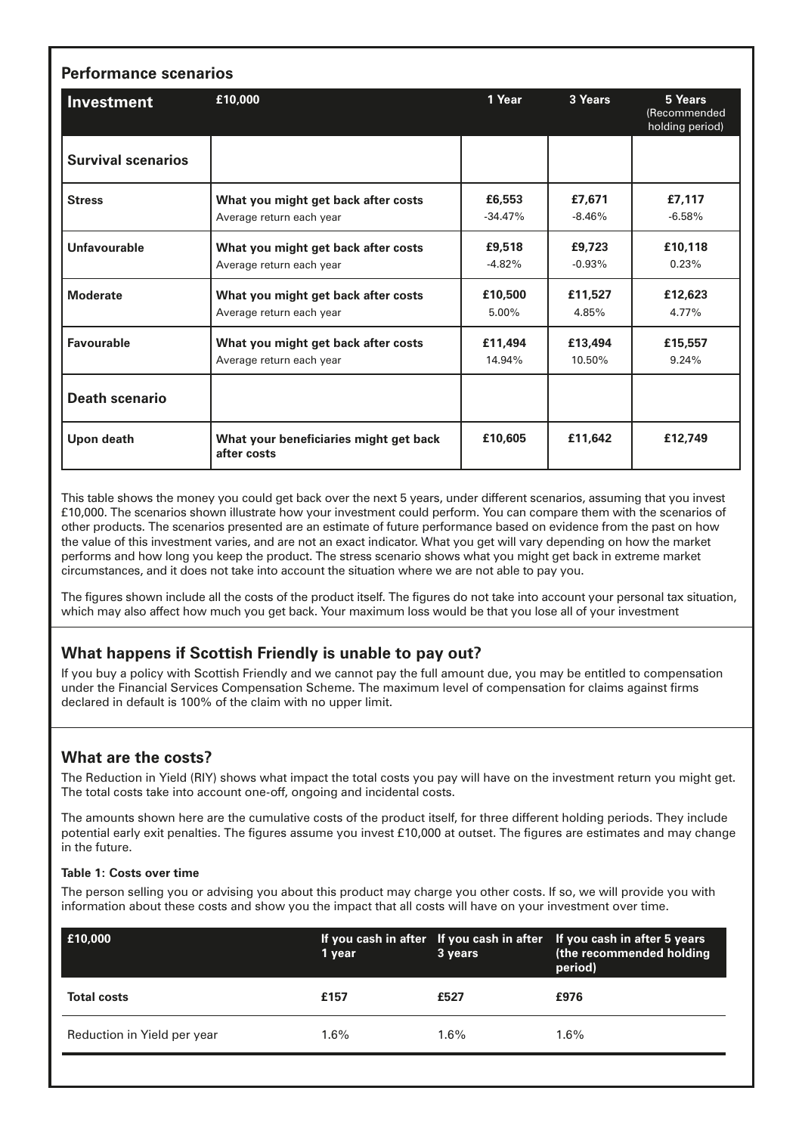| <b>Performance scenarios</b> |                                                                 |                     |                     |                                            |  |  |
|------------------------------|-----------------------------------------------------------------|---------------------|---------------------|--------------------------------------------|--|--|
| <b>Investment</b>            | £10,000                                                         | 1 Year              | 3 Years             | 5 Years<br>(Recommended<br>holding period) |  |  |
| <b>Survival scenarios</b>    |                                                                 |                     |                     |                                            |  |  |
| <b>Stress</b>                | What you might get back after costs<br>Average return each year | £6,553<br>$-34.47%$ | £7,671<br>$-8.46\%$ | £7,117<br>$-6.58%$                         |  |  |
| Unfavourable                 | What you might get back after costs<br>Average return each year | £9,518<br>$-4.82%$  | £9,723<br>$-0.93%$  | £10.118<br>0.23%                           |  |  |
| <b>Moderate</b>              | What you might get back after costs<br>Average return each year | £10,500<br>$5.00\%$ | £11,527<br>4.85%    | £12,623<br>4.77%                           |  |  |
| <b>Favourable</b>            | What you might get back after costs<br>Average return each year | £11,494<br>14.94%   | £13,494<br>10.50%   | £15,557<br>9.24%                           |  |  |
| <b>Death scenario</b>        |                                                                 |                     |                     |                                            |  |  |
| Upon death                   | What your beneficiaries might get back<br>after costs           | £10,605             | £11,642             | £12,749                                    |  |  |

This table shows the money you could get back over the next 5 years, under different scenarios, assuming that you invest £10,000. The scenarios shown illustrate how your investment could perform. You can compare them with the scenarios of other products. The scenarios presented are an estimate of future performance based on evidence from the past on how the value of this investment varies, and are not an exact indicator. What you get will vary depending on how the market performs and how long you keep the product. The stress scenario shows what you might get back in extreme market circumstances, and it does not take into account the situation where we are not able to pay you.

The figures shown include all the costs of the product itself. The figures do not take into account your personal tax situation, which may also affect how much you get back. Your maximum loss would be that you lose all of your investment

### **What happens if Scottish Friendly is unable to pay out?**

If you buy a policy with Scottish Friendly and we cannot pay the full amount due, you may be entitled to compensation under the Financial Services Compensation Scheme. The maximum level of compensation for claims against firms declared in default is 100% of the claim with no upper limit.

### **What are the costs?**

The Reduction in Yield (RIY) shows what impact the total costs you pay will have on the investment return you might get. The total costs take into account one-off, ongoing and incidental costs.

The amounts shown here are the cumulative costs of the product itself, for three different holding periods. They include potential early exit penalties. The figures assume you invest £10,000 at outset. The figures are estimates and may change in the future.

#### **Table 1: Costs over time**

The person selling you or advising you about this product may charge you other costs. If so, we will provide you with information about these costs and show you the impact that all costs will have on your investment over time.

| £10,000                     | 1 year  | 3 years | If you cash in after If you cash in after If you cash in after 5 years<br>(the recommended holding<br>period) |
|-----------------------------|---------|---------|---------------------------------------------------------------------------------------------------------------|
| <b>Total costs</b>          | £157    | £527    | £976                                                                                                          |
| Reduction in Yield per year | $1.6\%$ | 1.6%    | $1.6\%$                                                                                                       |